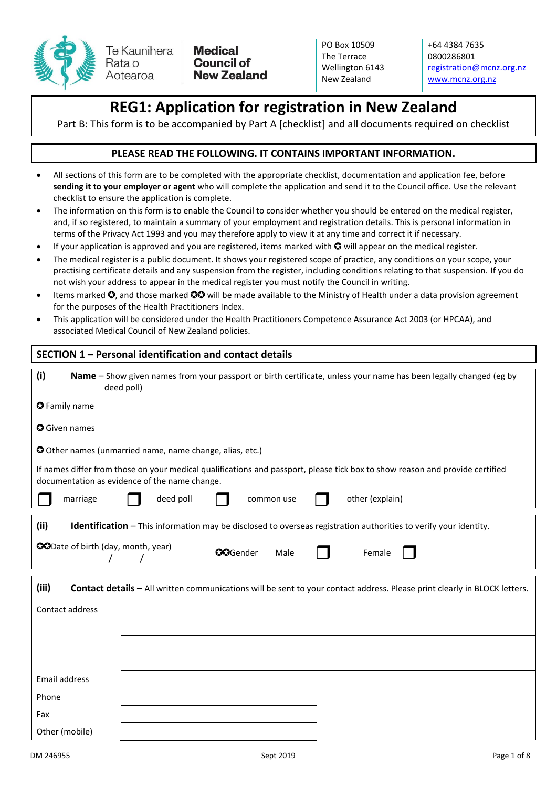

**Medical Council of New Zealand**  PO Box 10509 The Terrace Wellington 6143 New Zealand

+64 4384 7635 0800286801 [registration@mcnz.org.nz](mailto:registration@mcnz.org.nz) [www.mcnz.org.nz](http://www.mcnz.org.nz/)

# **REG1: Application for registration in New Zealand**

Part B: This form is to be accompanied by Part A [checklist] and all documents required on checklist

#### **PLEASE READ THE FOLLOWING. IT CONTAINS IMPORTANT INFORMATION.**

- All sections of this form are to be completed with the appropriate checklist, documentation and application fee, before **sending it to your employer or agent** who will complete the application and send it to the Council office. Use the relevant checklist to ensure the application is complete.
- The information on this form is to enable the Council to consider whether you should be entered on the medical register, and, if so registered, to maintain a summary of your employment and registration details. This is personal information in terms of the Privacy Act 1993 and you may therefore apply to view it at any time and correct it if necessary.
- If your application is approved and you are registered, items marked with  $\bullet$  will appear on the medical register.
- The medical register is a public document. It shows your registered scope of practice, any conditions on your scope, your practising certificate details and any suspension from the register, including conditions relating to that suspension. If you do not wish your address to appear in the medical register you must notify the Council in writing.
- Items marked  $\Omega$ , and those marked  $\Omega$  will be made available to the Ministry of Health under a data provision agreement for the purposes of the Health Practitioners Index.
- This application will be considered under the Health Practitioners Competence Assurance Act 2003 (or HPCAA), and associated Medical Council of New Zealand policies.

## **SECTION 1 – Personal identification and contact details**

| (i)                                       | Name – Show given names from your passport or birth certificate, unless your name has been legally changed (eg by<br>deed poll)                                               |
|-------------------------------------------|-------------------------------------------------------------------------------------------------------------------------------------------------------------------------------|
| <b>O</b> Family name                      |                                                                                                                                                                               |
| <b>O</b> Given names                      |                                                                                                                                                                               |
|                                           | O Other names (unmarried name, name change, alias, etc.)                                                                                                                      |
|                                           | If names differ from those on your medical qualifications and passport, please tick box to show reason and provide certified<br>documentation as evidence of the name change. |
| marriage                                  | other (explain)<br>deed poll<br>common use                                                                                                                                    |
| (ii)                                      | <b>Identification</b> - This information may be disclosed to overseas registration authorities to verify your identity.                                                       |
| <b>CODate of birth (day, month, year)</b> | <b>OO</b> Gender<br>Female<br>Male                                                                                                                                            |
| (iii)<br>Contact address                  | Contact details - All written communications will be sent to your contact address. Please print clearly in BLOCK letters.                                                     |
|                                           |                                                                                                                                                                               |
|                                           |                                                                                                                                                                               |
|                                           |                                                                                                                                                                               |
| Email address                             |                                                                                                                                                                               |
| Phone                                     |                                                                                                                                                                               |
| Fax                                       |                                                                                                                                                                               |
| Other (mobile)                            |                                                                                                                                                                               |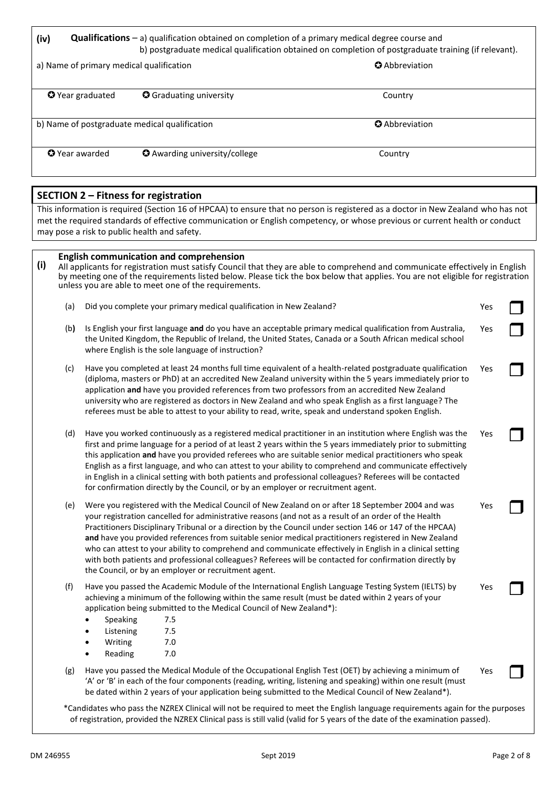**(iv) Qualifications** – a) qualification obtained on completion of a primary medical degree course and b) postgraduate medical qualification obtained on completion of postgraduate training (if relevant).

| a) Name of primary medical qualification      |                                      | <b>Q</b> Abbreviation |  |  |  |
|-----------------------------------------------|--------------------------------------|-----------------------|--|--|--|
| <b>O</b> Year graduated                       | <b>O</b> Graduating university       | Country               |  |  |  |
| b) Name of postgraduate medical qualification |                                      | <b>Q</b> Abbreviation |  |  |  |
| <b>O</b> Year awarded                         | <b>O</b> Awarding university/college | Country               |  |  |  |

#### **SECTION 2 – Fitness for registration**

This information is required (Section 16 of HPCAA) to ensure that no person is registered as a doctor in New Zealand who has not met the required standards of effective communication or English competency, or whose previous or current health or conduct may pose a risk to public health and safety.

| (i) | <b>English communication and comprehension</b><br>All applicants for registration must satisfy Council that they are able to comprehend and communicate effectively in English<br>by meeting one of the requirements listed below. Please tick the box below that applies. You are not eligible for registration<br>unless you are able to meet one of the requirements. |                                                                                                                                                                                                                                                                                                                                                                                                                                                                                                                                                                                                                                                                                                                 |     |  |  |  |  |
|-----|--------------------------------------------------------------------------------------------------------------------------------------------------------------------------------------------------------------------------------------------------------------------------------------------------------------------------------------------------------------------------|-----------------------------------------------------------------------------------------------------------------------------------------------------------------------------------------------------------------------------------------------------------------------------------------------------------------------------------------------------------------------------------------------------------------------------------------------------------------------------------------------------------------------------------------------------------------------------------------------------------------------------------------------------------------------------------------------------------------|-----|--|--|--|--|
|     | (a)                                                                                                                                                                                                                                                                                                                                                                      | Did you complete your primary medical qualification in New Zealand?                                                                                                                                                                                                                                                                                                                                                                                                                                                                                                                                                                                                                                             | Yes |  |  |  |  |
|     | (b)                                                                                                                                                                                                                                                                                                                                                                      | Is English your first language and do you have an acceptable primary medical qualification from Australia,<br>the United Kingdom, the Republic of Ireland, the United States, Canada or a South African medical school<br>where English is the sole language of instruction?                                                                                                                                                                                                                                                                                                                                                                                                                                    | Yes |  |  |  |  |
|     | (c)                                                                                                                                                                                                                                                                                                                                                                      | Have you completed at least 24 months full time equivalent of a health-related postgraduate qualification<br>(diploma, masters or PhD) at an accredited New Zealand university within the 5 years immediately prior to<br>application and have you provided references from two professors from an accredited New Zealand<br>university who are registered as doctors in New Zealand and who speak English as a first language? The<br>referees must be able to attest to your ability to read, write, speak and understand spoken English.                                                                                                                                                                     | Yes |  |  |  |  |
|     | (d)                                                                                                                                                                                                                                                                                                                                                                      | Have you worked continuously as a registered medical practitioner in an institution where English was the<br>first and prime language for a period of at least 2 years within the 5 years immediately prior to submitting<br>this application and have you provided referees who are suitable senior medical practitioners who speak<br>English as a first language, and who can attest to your ability to comprehend and communicate effectively<br>in English in a clinical setting with both patients and professional colleagues? Referees will be contacted<br>for confirmation directly by the Council, or by an employer or recruitment agent.                                                           | Yes |  |  |  |  |
|     | (e)                                                                                                                                                                                                                                                                                                                                                                      | Were you registered with the Medical Council of New Zealand on or after 18 September 2004 and was<br>your registration cancelled for administrative reasons (and not as a result of an order of the Health<br>Practitioners Disciplinary Tribunal or a direction by the Council under section 146 or 147 of the HPCAA)<br>and have you provided references from suitable senior medical practitioners registered in New Zealand<br>who can attest to your ability to comprehend and communicate effectively in English in a clinical setting<br>with both patients and professional colleagues? Referees will be contacted for confirmation directly by<br>the Council, or by an employer or recruitment agent. | Yes |  |  |  |  |
|     | (f)                                                                                                                                                                                                                                                                                                                                                                      | Have you passed the Academic Module of the International English Language Testing System (IELTS) by<br>achieving a minimum of the following within the same result (must be dated within 2 years of your<br>application being submitted to the Medical Council of New Zealand*):<br>7.5<br>Speaking<br>7.5<br>Listening<br>Writing<br>7.0<br>$\bullet$<br>7.0<br>Reading<br>$\bullet$                                                                                                                                                                                                                                                                                                                           | Yes |  |  |  |  |
|     | (g)                                                                                                                                                                                                                                                                                                                                                                      | Have you passed the Medical Module of the Occupational English Test (OET) by achieving a minimum of<br>'A' or 'B' in each of the four components (reading, writing, listening and speaking) within one result (must<br>be dated within 2 years of your application being submitted to the Medical Council of New Zealand*).<br>*Candidates who pass the NZREX Clinical will not be required to meet the English Janguage requirements again for the purnoses                                                                                                                                                                                                                                                    | Yes |  |  |  |  |

\*Candidates who pass the NZREX Clinical will not be required to meet the English language requirements again for the purposes of registration, provided the NZREX Clinical pass is still valid (valid for 5 years of the date of the examination passed).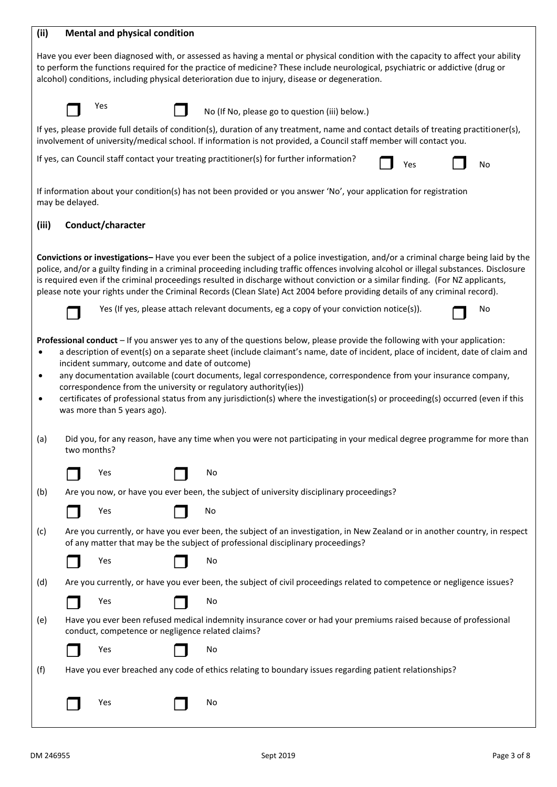| (ii)                                       |                                                                                                                                                                                                                                                                                                                                                                    | <b>Mental and physical condition</b>                                                                                                                                                                                                                                                                                                                                                                                                                                                                                                   |                                                                                         |    |  |  |                                                |  |     |                                                                                                                                                                                                                                                         |
|--------------------------------------------|--------------------------------------------------------------------------------------------------------------------------------------------------------------------------------------------------------------------------------------------------------------------------------------------------------------------------------------------------------------------|----------------------------------------------------------------------------------------------------------------------------------------------------------------------------------------------------------------------------------------------------------------------------------------------------------------------------------------------------------------------------------------------------------------------------------------------------------------------------------------------------------------------------------------|-----------------------------------------------------------------------------------------|----|--|--|------------------------------------------------|--|-----|---------------------------------------------------------------------------------------------------------------------------------------------------------------------------------------------------------------------------------------------------------|
|                                            | Have you ever been diagnosed with, or assessed as having a mental or physical condition with the capacity to affect your ability<br>to perform the functions required for the practice of medicine? These include neurological, psychiatric or addictive (drug or<br>alcohol) conditions, including physical deterioration due to injury, disease or degeneration. |                                                                                                                                                                                                                                                                                                                                                                                                                                                                                                                                        |                                                                                         |    |  |  |                                                |  |     |                                                                                                                                                                                                                                                         |
|                                            |                                                                                                                                                                                                                                                                                                                                                                    | Yes                                                                                                                                                                                                                                                                                                                                                                                                                                                                                                                                    |                                                                                         |    |  |  | No (If No, please go to question (iii) below.) |  |     |                                                                                                                                                                                                                                                         |
|                                            |                                                                                                                                                                                                                                                                                                                                                                    | If yes, please provide full details of condition(s), duration of any treatment, name and contact details of treating practitioner(s),<br>involvement of university/medical school. If information is not provided, a Council staff member will contact you.                                                                                                                                                                                                                                                                            |                                                                                         |    |  |  |                                                |  |     |                                                                                                                                                                                                                                                         |
|                                            |                                                                                                                                                                                                                                                                                                                                                                    | If yes, can Council staff contact your treating practitioner(s) for further information?                                                                                                                                                                                                                                                                                                                                                                                                                                               |                                                                                         |    |  |  |                                                |  | Yes | <b>No</b>                                                                                                                                                                                                                                               |
|                                            | may be delayed.                                                                                                                                                                                                                                                                                                                                                    | If information about your condition(s) has not been provided or you answer 'No', your application for registration                                                                                                                                                                                                                                                                                                                                                                                                                     |                                                                                         |    |  |  |                                                |  |     |                                                                                                                                                                                                                                                         |
| (iii)                                      |                                                                                                                                                                                                                                                                                                                                                                    | Conduct/character                                                                                                                                                                                                                                                                                                                                                                                                                                                                                                                      |                                                                                         |    |  |  |                                                |  |     |                                                                                                                                                                                                                                                         |
|                                            |                                                                                                                                                                                                                                                                                                                                                                    | police, and/or a guilty finding in a criminal proceeding including traffic offences involving alcohol or illegal substances. Disclosure<br>is required even if the criminal proceedings resulted in discharge without conviction or a similar finding. (For NZ applicants,<br>please note your rights under the Criminal Records (Clean Slate) Act 2004 before providing details of any criminal record).                                                                                                                              |                                                                                         |    |  |  |                                                |  |     | Convictions or investigations-Have you ever been the subject of a police investigation, and/or a criminal charge being laid by the                                                                                                                      |
|                                            |                                                                                                                                                                                                                                                                                                                                                                    |                                                                                                                                                                                                                                                                                                                                                                                                                                                                                                                                        | Yes (If yes, please attach relevant documents, eg a copy of your conviction notice(s)). |    |  |  |                                                |  |     | No                                                                                                                                                                                                                                                      |
| $\bullet$<br>$\bullet$<br>$\bullet$<br>(a) |                                                                                                                                                                                                                                                                                                                                                                    | Professional conduct - If you answer yes to any of the questions below, please provide the following with your application:<br>incident summary, outcome and date of outcome)<br>any documentation available (court documents, legal correspondence, correspondence from your insurance company,<br>correspondence from the university or regulatory authority(ies))<br>certificates of professional status from any jurisdiction(s) where the investigation(s) or proceeding(s) occurred (even if this<br>was more than 5 years ago). |                                                                                         |    |  |  |                                                |  |     | a description of event(s) on a separate sheet (include claimant's name, date of incident, place of incident, date of claim and<br>Did you, for any reason, have any time when you were not participating in your medical degree programme for more than |
|                                            | two months?                                                                                                                                                                                                                                                                                                                                                        |                                                                                                                                                                                                                                                                                                                                                                                                                                                                                                                                        |                                                                                         |    |  |  |                                                |  |     |                                                                                                                                                                                                                                                         |
| (b)                                        |                                                                                                                                                                                                                                                                                                                                                                    | Yes<br>Are you now, or have you ever been, the subject of university disciplinary proceedings?                                                                                                                                                                                                                                                                                                                                                                                                                                         |                                                                                         | No |  |  |                                                |  |     |                                                                                                                                                                                                                                                         |
|                                            |                                                                                                                                                                                                                                                                                                                                                                    | Yes                                                                                                                                                                                                                                                                                                                                                                                                                                                                                                                                    |                                                                                         | No |  |  |                                                |  |     |                                                                                                                                                                                                                                                         |
| (c)                                        |                                                                                                                                                                                                                                                                                                                                                                    | of any matter that may be the subject of professional disciplinary proceedings?                                                                                                                                                                                                                                                                                                                                                                                                                                                        |                                                                                         |    |  |  |                                                |  |     | Are you currently, or have you ever been, the subject of an investigation, in New Zealand or in another country, in respect                                                                                                                             |
|                                            |                                                                                                                                                                                                                                                                                                                                                                    | Yes                                                                                                                                                                                                                                                                                                                                                                                                                                                                                                                                    |                                                                                         | No |  |  |                                                |  |     |                                                                                                                                                                                                                                                         |
| (d)                                        |                                                                                                                                                                                                                                                                                                                                                                    | Are you currently, or have you ever been, the subject of civil proceedings related to competence or negligence issues?                                                                                                                                                                                                                                                                                                                                                                                                                 |                                                                                         |    |  |  |                                                |  |     |                                                                                                                                                                                                                                                         |
|                                            |                                                                                                                                                                                                                                                                                                                                                                    | Yes                                                                                                                                                                                                                                                                                                                                                                                                                                                                                                                                    |                                                                                         | No |  |  |                                                |  |     |                                                                                                                                                                                                                                                         |
| (e)                                        |                                                                                                                                                                                                                                                                                                                                                                    | Have you ever been refused medical indemnity insurance cover or had your premiums raised because of professional<br>conduct, competence or negligence related claims?                                                                                                                                                                                                                                                                                                                                                                  |                                                                                         |    |  |  |                                                |  |     |                                                                                                                                                                                                                                                         |
|                                            |                                                                                                                                                                                                                                                                                                                                                                    | Yes                                                                                                                                                                                                                                                                                                                                                                                                                                                                                                                                    |                                                                                         | No |  |  |                                                |  |     |                                                                                                                                                                                                                                                         |
| (f)                                        |                                                                                                                                                                                                                                                                                                                                                                    | Have you ever breached any code of ethics relating to boundary issues regarding patient relationships?                                                                                                                                                                                                                                                                                                                                                                                                                                 |                                                                                         |    |  |  |                                                |  |     |                                                                                                                                                                                                                                                         |
|                                            |                                                                                                                                                                                                                                                                                                                                                                    | Yes                                                                                                                                                                                                                                                                                                                                                                                                                                                                                                                                    |                                                                                         | No |  |  |                                                |  |     |                                                                                                                                                                                                                                                         |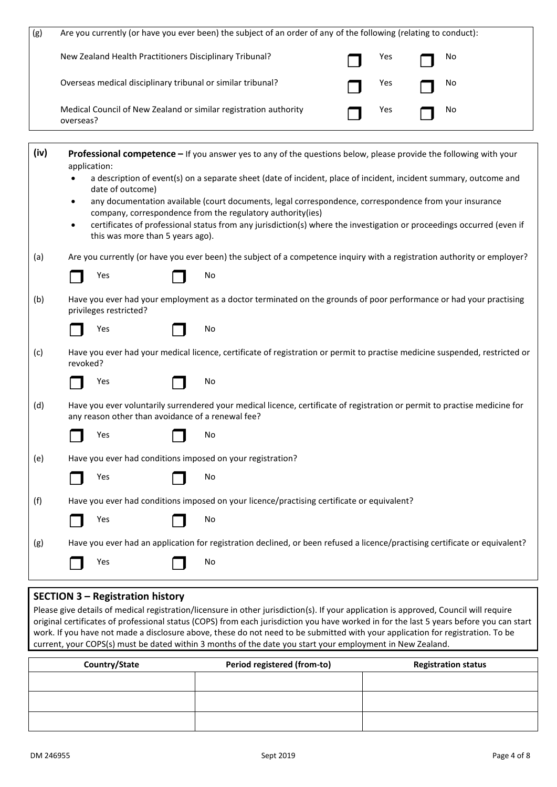| (g)  | Are you currently (or have you ever been) the subject of an order of any of the following (relating to conduct): |                                                                                                                                                                      |  |  |  |  |  |  |
|------|------------------------------------------------------------------------------------------------------------------|----------------------------------------------------------------------------------------------------------------------------------------------------------------------|--|--|--|--|--|--|
|      | New Zealand Health Practitioners Disciplinary Tribunal?                                                          | Yes<br>No                                                                                                                                                            |  |  |  |  |  |  |
|      | Overseas medical disciplinary tribunal or similar tribunal?                                                      | Yes<br>No                                                                                                                                                            |  |  |  |  |  |  |
|      | Medical Council of New Zealand or similar registration authority<br>overseas?                                    | Yes<br>No                                                                                                                                                            |  |  |  |  |  |  |
| (iv) | application:                                                                                                     | Professional competence - If you answer yes to any of the questions below, please provide the following with your                                                    |  |  |  |  |  |  |
|      | date of outcome)                                                                                                 | a description of event(s) on a separate sheet (date of incident, place of incident, incident summary, outcome and                                                    |  |  |  |  |  |  |
|      | ٠                                                                                                                | any documentation available (court documents, legal correspondence, correspondence from your insurance<br>company, correspondence from the regulatory authority(ies) |  |  |  |  |  |  |
|      | $\bullet$<br>this was more than 5 years ago).                                                                    | certificates of professional status from any jurisdiction(s) where the investigation or proceedings occurred (even if                                                |  |  |  |  |  |  |
| (a)  |                                                                                                                  | Are you currently (or have you ever been) the subject of a competence inquiry with a registration authority or employer?                                             |  |  |  |  |  |  |
|      | Yes                                                                                                              | No                                                                                                                                                                   |  |  |  |  |  |  |
| (b)  | privileges restricted?                                                                                           | Have you ever had your employment as a doctor terminated on the grounds of poor performance or had your practising                                                   |  |  |  |  |  |  |
|      | Yes                                                                                                              | No                                                                                                                                                                   |  |  |  |  |  |  |
| (c)  | revoked?                                                                                                         | Have you ever had your medical licence, certificate of registration or permit to practise medicine suspended, restricted or                                          |  |  |  |  |  |  |
|      | Yes                                                                                                              | No                                                                                                                                                                   |  |  |  |  |  |  |
| (d)  | any reason other than avoidance of a renewal fee?                                                                | Have you ever voluntarily surrendered your medical licence, certificate of registration or permit to practise medicine for                                           |  |  |  |  |  |  |
|      | Yes                                                                                                              | No                                                                                                                                                                   |  |  |  |  |  |  |
| (e)  | Have you ever had conditions imposed on your registration?                                                       |                                                                                                                                                                      |  |  |  |  |  |  |
|      | Yes                                                                                                              | No                                                                                                                                                                   |  |  |  |  |  |  |
| (f)  |                                                                                                                  | Have you ever had conditions imposed on your licence/practising certificate or equivalent?                                                                           |  |  |  |  |  |  |
|      | Yes                                                                                                              | No                                                                                                                                                                   |  |  |  |  |  |  |
| (g)  |                                                                                                                  | Have you ever had an application for registration declined, or been refused a licence/practising certificate or equivalent?                                          |  |  |  |  |  |  |
|      | Yes                                                                                                              | No                                                                                                                                                                   |  |  |  |  |  |  |

## **SECTION 3 – Registration history**

Please give details of medical registration/licensure in other jurisdiction(s). If your application is approved, Council will require original certificates of professional status (COPS) from each jurisdiction you have worked in for the last 5 years before you can start work. If you have not made a disclosure above, these do not need to be submitted with your application for registration. To be current, your COPS(s) must be dated within 3 months of the date you start your employment in New Zealand.

| Country/State | Period registered (from-to) | <b>Registration status</b> |  |  |  |
|---------------|-----------------------------|----------------------------|--|--|--|
|               |                             |                            |  |  |  |
|               |                             |                            |  |  |  |
|               |                             |                            |  |  |  |
|               |                             |                            |  |  |  |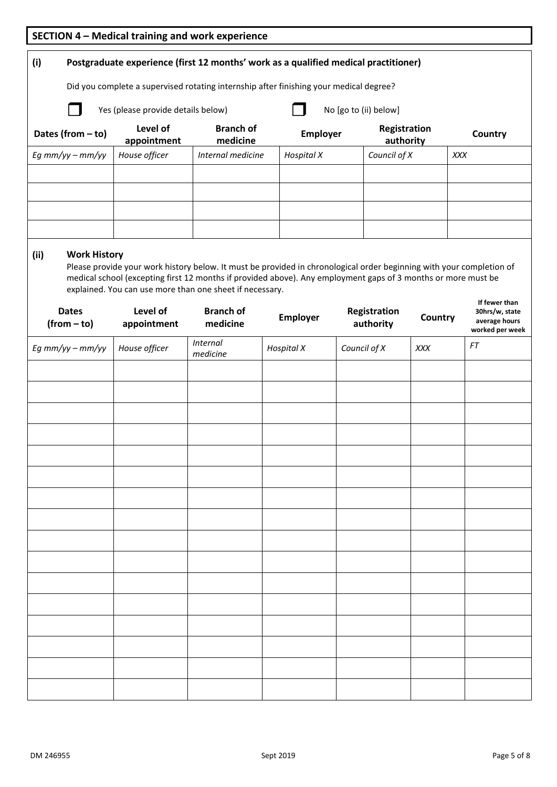| SECTION 4 - Medical training and work experience                                                                                   |                                                                                                                                                                           |                              |                   |                           |            |                                                                     |  |  |  |  |
|------------------------------------------------------------------------------------------------------------------------------------|---------------------------------------------------------------------------------------------------------------------------------------------------------------------------|------------------------------|-------------------|---------------------------|------------|---------------------------------------------------------------------|--|--|--|--|
| (i)<br>Postgraduate experience (first 12 months' work as a qualified medical practitioner)                                         |                                                                                                                                                                           |                              |                   |                           |            |                                                                     |  |  |  |  |
| Did you complete a supervised rotating internship after finishing your medical degree?                                             |                                                                                                                                                                           |                              |                   |                           |            |                                                                     |  |  |  |  |
| Yes (please provide details below)<br>No [go to (ii) below]                                                                        |                                                                                                                                                                           |                              |                   |                           |            |                                                                     |  |  |  |  |
| Level of<br><b>Branch of</b><br>Registration<br>Dates (from $-$ to)<br>Employer<br>Country<br>medicine<br>authority<br>appointment |                                                                                                                                                                           |                              |                   |                           |            |                                                                     |  |  |  |  |
| Eg $mm/yy - mm/yy$                                                                                                                 | House officer                                                                                                                                                             | Internal medicine            | <b>Hospital X</b> | Council of X              |            | XXX                                                                 |  |  |  |  |
|                                                                                                                                    |                                                                                                                                                                           |                              |                   |                           |            |                                                                     |  |  |  |  |
|                                                                                                                                    |                                                                                                                                                                           |                              |                   |                           |            |                                                                     |  |  |  |  |
|                                                                                                                                    |                                                                                                                                                                           |                              |                   |                           |            |                                                                     |  |  |  |  |
| <b>Work History</b><br>(ii)                                                                                                        | Please provide your work history below. It must be provided in chronological order beginning with your completion of                                                      |                              |                   |                           |            |                                                                     |  |  |  |  |
|                                                                                                                                    | medical school (excepting first 12 months if provided above). Any employment gaps of 3 months or more must be<br>explained. You can use more than one sheet if necessary. |                              |                   |                           |            |                                                                     |  |  |  |  |
| <b>Dates</b><br>$(from - to)$                                                                                                      | Level of<br>appointment                                                                                                                                                   | <b>Branch of</b><br>medicine | Employer          | Registration<br>authority | Country    | If fewer than<br>30hrs/w, state<br>average hours<br>worked per week |  |  |  |  |
| Eg $mm/yy - mm/yy$                                                                                                                 | House officer                                                                                                                                                             | <b>Internal</b><br>medicine  | <b>Hospital X</b> | Council of X              | <b>XXX</b> | FT                                                                  |  |  |  |  |
|                                                                                                                                    |                                                                                                                                                                           |                              |                   |                           |            |                                                                     |  |  |  |  |
|                                                                                                                                    |                                                                                                                                                                           |                              |                   |                           |            |                                                                     |  |  |  |  |
|                                                                                                                                    |                                                                                                                                                                           |                              |                   |                           |            |                                                                     |  |  |  |  |
|                                                                                                                                    |                                                                                                                                                                           |                              |                   |                           |            |                                                                     |  |  |  |  |
|                                                                                                                                    |                                                                                                                                                                           |                              |                   |                           |            |                                                                     |  |  |  |  |
|                                                                                                                                    |                                                                                                                                                                           |                              |                   |                           |            |                                                                     |  |  |  |  |
|                                                                                                                                    |                                                                                                                                                                           |                              |                   |                           |            |                                                                     |  |  |  |  |
|                                                                                                                                    |                                                                                                                                                                           |                              |                   |                           |            |                                                                     |  |  |  |  |
|                                                                                                                                    |                                                                                                                                                                           |                              |                   |                           |            |                                                                     |  |  |  |  |
|                                                                                                                                    |                                                                                                                                                                           |                              |                   |                           |            |                                                                     |  |  |  |  |
|                                                                                                                                    |                                                                                                                                                                           |                              |                   |                           |            |                                                                     |  |  |  |  |
|                                                                                                                                    |                                                                                                                                                                           |                              |                   |                           |            |                                                                     |  |  |  |  |
|                                                                                                                                    |                                                                                                                                                                           |                              |                   |                           |            |                                                                     |  |  |  |  |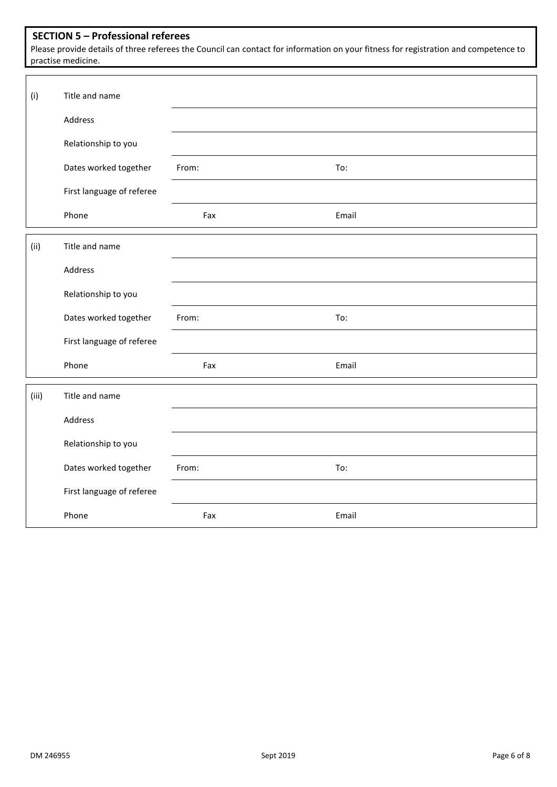## **SECTION 5 – Professional referees**

Please provide details of three referees the Council can contact for information on your fitness for registration and competence to practise medicine.

| (i)   | Title and name            |       |       |
|-------|---------------------------|-------|-------|
|       | Address                   |       |       |
|       | Relationship to you       |       |       |
|       | Dates worked together     | From: | To:   |
|       | First language of referee |       |       |
|       | Phone                     | Fax   | Email |
| (ii)  | Title and name            |       |       |
|       | Address                   |       |       |
|       | Relationship to you       |       |       |
|       | Dates worked together     | From: | To:   |
|       | First language of referee |       |       |
|       | Phone                     | Fax   | Email |
| (iii) | Title and name            |       |       |
|       | Address                   |       |       |
|       | Relationship to you       |       |       |
|       | Dates worked together     | From: | To:   |
|       | First language of referee |       |       |
|       | Phone                     | Fax   | Email |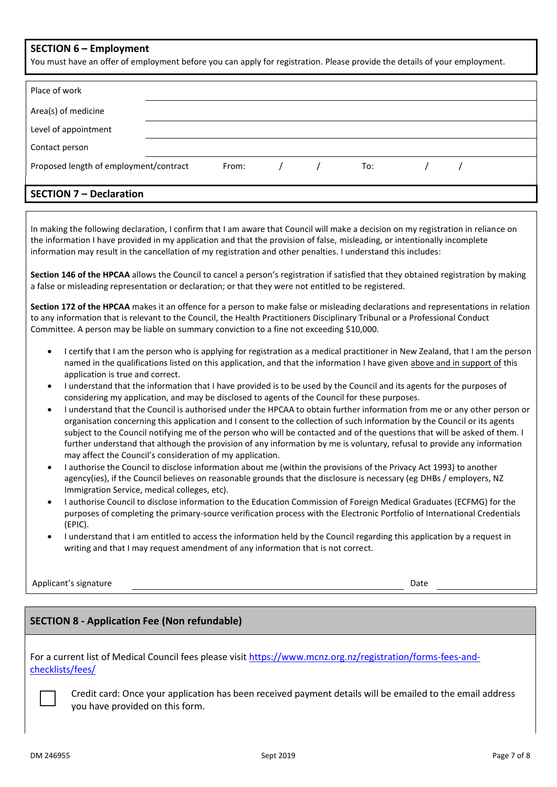## **SECTION 6 – Employment**

You must have an offer of employment before you can apply for registration. Please provide the details of your employment.

| Place of work                          |  |       |  |  |     |  |  |  |
|----------------------------------------|--|-------|--|--|-----|--|--|--|
| Area(s) of medicine                    |  |       |  |  |     |  |  |  |
| Level of appointment                   |  |       |  |  |     |  |  |  |
| Contact person                         |  |       |  |  |     |  |  |  |
| Proposed length of employment/contract |  | From: |  |  | To: |  |  |  |
|                                        |  |       |  |  |     |  |  |  |
| <b>SECTION 7 - Declaration</b>         |  |       |  |  |     |  |  |  |

In making the following declaration, I confirm that I am aware that Council will make a decision on my registration in reliance on the information I have provided in my application and that the provision of false, misleading, or intentionally incomplete

information may result in the cancellation of my registration and other penalties. I understand this includes:

**Section 146 of the HPCAA** allows the Council to cancel a person's registration if satisfied that they obtained registration by making a false or misleading representation or declaration; or that they were not entitled to be registered.

**Section 172 of the HPCAA** makes it an offence for a person to make false or misleading declarations and representations in relation to any information that is relevant to the Council, the Health Practitioners Disciplinary Tribunal or a Professional Conduct Committee. A person may be liable on summary conviction to a fine not exceeding \$10,000.

- I certify that I am the person who is applying for registration as a medical practitioner in New Zealand, that I am the person named in the qualifications listed on this application, and that the information I have given above and in support of this application is true and correct.
- I understand that the information that I have provided is to be used by the Council and its agents for the purposes of considering my application, and may be disclosed to agents of the Council for these purposes.
- I understand that the Council is authorised under the HPCAA to obtain further information from me or any other person or organisation concerning this application and I consent to the collection of such information by the Council or its agents subject to the Council notifying me of the person who will be contacted and of the questions that will be asked of them. I further understand that although the provision of any information by me is voluntary, refusal to provide any information may affect the Council's consideration of my application.
- I authorise the Council to disclose information about me (within the provisions of the Privacy Act 1993) to another agency(ies), if the Council believes on reasonable grounds that the disclosure is necessary (eg DHBs / employers, NZ Immigration Service, medical colleges, etc).
- I authorise Council to disclose information to the Education Commission of Foreign Medical Graduates (ECFMG) for the purposes of completing the primary-source verification process with the Electronic Portfolio of International Credentials (EPIC).
- I understand that I am entitled to access the information held by the Council regarding this application by a request in writing and that I may request amendment of any information that is not correct.

Applicant's signature Date Date of the Date of the Date of the Date of the Date of the Date of the Date of the Date of the Date of the Date of the Date of the Date of the Date of the Date of the Date of the Date of the Dat

# **SECTION 8 - Application Fee (Non refundable)**

For a current list of Medical Council fees please visit [https://www.mcnz.org.nz/registration/forms-fees-and](https://www.mcnz.org.nz/registration/forms-fees-and-checklists/fees/)[checklists/fees/](https://www.mcnz.org.nz/registration/forms-fees-and-checklists/fees/)

Credit card: Once your application has been received payment details will be emailed to the email address you have provided on this form.

□